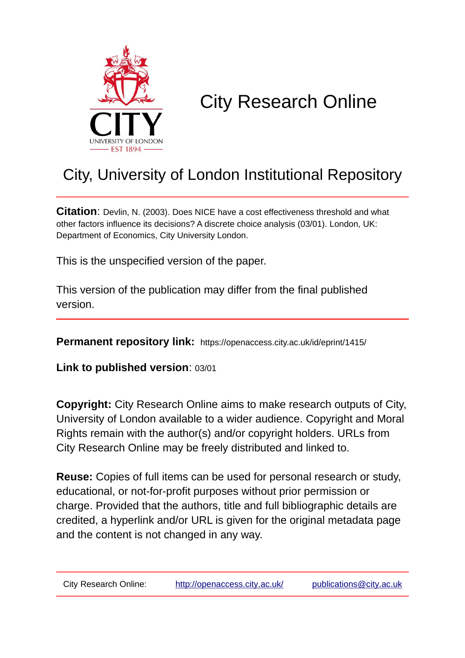

# City Research Online

## City, University of London Institutional Repository

**Citation**: Devlin, N. (2003). Does NICE have a cost effectiveness threshold and what other factors influence its decisions? A discrete choice analysis (03/01). London, UK: Department of Economics, City University London.

This is the unspecified version of the paper.

This version of the publication may differ from the final published version.

**Permanent repository link:** https://openaccess.city.ac.uk/id/eprint/1415/

**Link to published version**: 03/01

**Copyright:** City Research Online aims to make research outputs of City, University of London available to a wider audience. Copyright and Moral Rights remain with the author(s) and/or copyright holders. URLs from City Research Online may be freely distributed and linked to.

**Reuse:** Copies of full items can be used for personal research or study, educational, or not-for-profit purposes without prior permission or charge. Provided that the authors, title and full bibliographic details are credited, a hyperlink and/or URL is given for the original metadata page and the content is not changed in any way.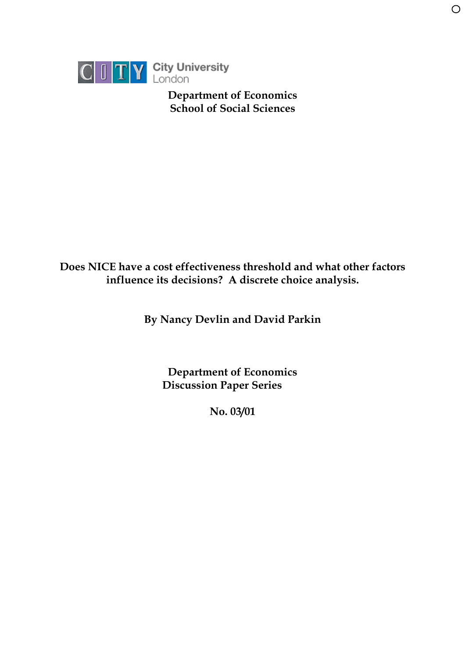

 **Department of Economics School of Social Sciences**

 $\bigcirc$ 

## **Does NICE have a cost effectiveness threshold and what other factors influence its decisions? A discrete choice analysis.**

**By Nancy Devlin and David Parkin**

**Department of Economics Discussion Paper Series**

**No. 03/01**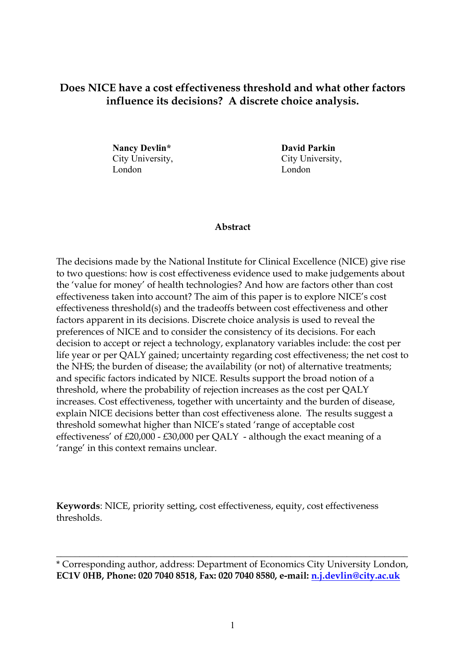### **Does NICE have a cost effectiveness threshold and what other factors influence its decisions? A discrete choice analysis.**

**Nancy Devlin\* David Parkin** City University, City University, London London

#### **Abstract**

The decisions made by the National Institute for Clinical Excellence (NICE) give rise to two questions: how is cost effectiveness evidence used to make judgements about the 'value for money' of health technologies? And how are factors other than cost effectiveness taken into account? The aim of this paper is to explore NICE's cost effectiveness threshold(s) and the tradeoffs between cost effectiveness and other factors apparent in its decisions. Discrete choice analysis is used to reveal the preferences of NICE and to consider the consistency of its decisions. For each decision to accept or reject a technology, explanatory variables include: the cost per life year or per QALY gained; uncertainty regarding cost effectiveness; the net cost to the NHS; the burden of disease; the availability (or not) of alternative treatments; and specific factors indicated by NICE. Results support the broad notion of a threshold, where the probability of rejection increases as the cost per QALY increases. Cost effectiveness, together with uncertainty and the burden of disease, explain NICE decisions better than cost effectiveness alone. The results suggest a threshold somewhat higher than NICE's stated 'range of acceptable cost effectiveness' of £20,000 - £30,000 per QALY - although the exact meaning of a 'range' in this context remains unclear.

**Keywords**: NICE, priority setting, cost effectiveness, equity, cost effectiveness thresholds.

\_\_\_\_\_\_\_\_\_\_\_\_\_\_\_\_\_\_\_\_\_\_\_\_\_\_\_\_\_\_\_\_\_\_\_\_\_\_\_\_\_\_\_\_\_\_\_\_\_\_\_\_\_\_\_\_\_\_\_\_\_\_\_\_\_\_\_\_\_\_\_\_\_\_\_

<sup>\*</sup> Corresponding author, address: Department of Economics City University London, **EC1V 0HB, Phone: 020 7040 8518, Fax: 020 7040 8580, e-mail: [n.j.devlin@city.ac.uk](mailto:n.j.devlin@city.ac.uk)**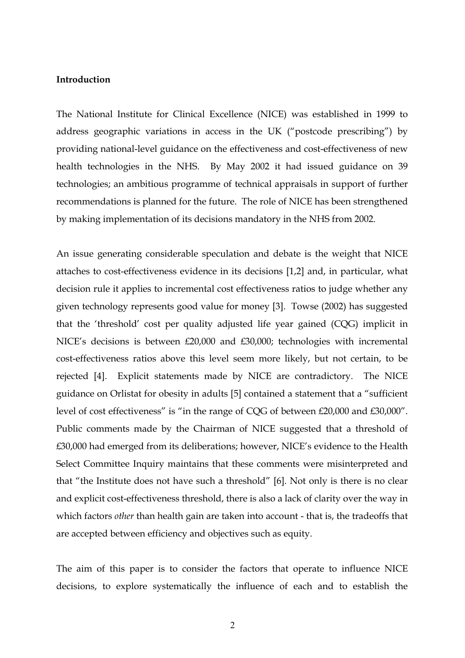#### **Introduction**

The National Institute for Clinical Excellence (NICE) was established in 1999 to address geographic variations in access in the UK ("postcode prescribing") by providing national-level guidance on the effectiveness and cost-effectiveness of new health technologies in the NHS. By May 2002 it had issued guidance on 39 technologies; an ambitious programme of technical appraisals in support of further recommendations is planned for the future. The role of NICE has been strengthened by making implementation of its decisions mandatory in the NHS from 2002.

An issue generating considerable speculation and debate is the weight that NICE attaches to cost-effectiveness evidence in its decisions [1,2] and, in particular, what decision rule it applies to incremental cost effectiveness ratios to judge whether any given technology represents good value for money [3]. Towse (2002) has suggested that the 'threshold' cost per quality adjusted life year gained (CQG) implicit in NICE's decisions is between £20,000 and £30,000; technologies with incremental cost-effectiveness ratios above this level seem more likely, but not certain, to be rejected [4]. Explicit statements made by NICE are contradictory. The NICE guidance on Orlistat for obesity in adults [5] contained a statement that a "sufficient level of cost effectiveness" is "in the range of CQG of between £20,000 and £30,000". Public comments made by the Chairman of NICE suggested that a threshold of £30,000 had emerged from its deliberations; however, NICE's evidence to the Health Select Committee Inquiry maintains that these comments were misinterpreted and that "the Institute does not have such a threshold" [6]. Not only is there is no clear and explicit cost-effectiveness threshold, there is also a lack of clarity over the way in which factors *other* than health gain are taken into account - that is, the tradeoffs that are accepted between efficiency and objectives such as equity.

The aim of this paper is to consider the factors that operate to influence NICE decisions, to explore systematically the influence of each and to establish the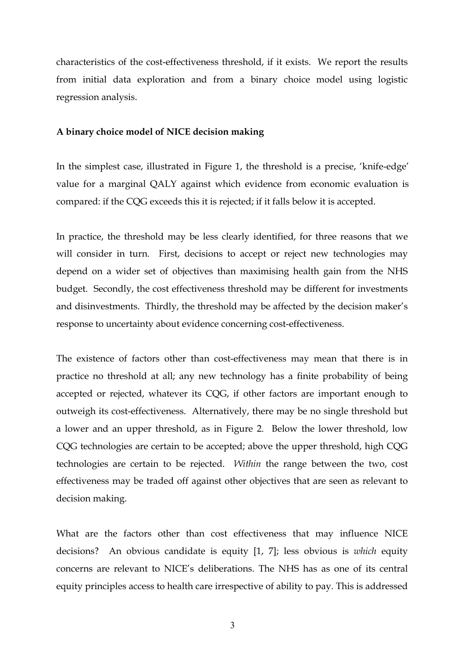characteristics of the cost-effectiveness threshold, if it exists. We report the results from initial data exploration and from a binary choice model using logistic regression analysis.

#### **A binary choice model of NICE decision making**

In the simplest case, illustrated in Figure 1, the threshold is a precise, 'knife-edge' value for a marginal QALY against which evidence from economic evaluation is compared: if the CQG exceeds this it is rejected; if it falls below it is accepted.

In practice, the threshold may be less clearly identified, for three reasons that we will consider in turn. First, decisions to accept or reject new technologies may depend on a wider set of objectives than maximising health gain from the NHS budget. Secondly, the cost effectiveness threshold may be different for investments and disinvestments. Thirdly, the threshold may be affected by the decision maker's response to uncertainty about evidence concerning cost-effectiveness.

The existence of factors other than cost-effectiveness may mean that there is in practice no threshold at all; any new technology has a finite probability of being accepted or rejected, whatever its CQG, if other factors are important enough to outweigh its cost-effectiveness. Alternatively, there may be no single threshold but a lower and an upper threshold, as in Figure 2. Below the lower threshold, low CQG technologies are certain to be accepted; above the upper threshold, high CQG technologies are certain to be rejected. *Within* the range between the two, cost effectiveness may be traded off against other objectives that are seen as relevant to decision making.

What are the factors other than cost effectiveness that may influence NICE decisions? An obvious candidate is equity [1, 7]; less obvious is *which* equity concerns are relevant to NICE's deliberations. The NHS has as one of its central equity principles access to health care irrespective of ability to pay. This is addressed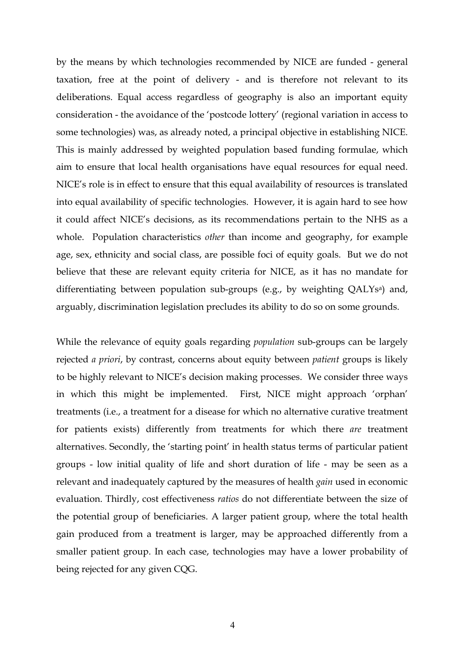by the means by which technologies recommended by NICE are funded - general taxation, free at the point of delivery - and is therefore not relevant to its deliberations. Equal access regardless of geography is also an important equity consideration - the avoidance of the 'postcode lottery' (regional variation in access to some technologies) was, as already noted, a principal objective in establishing NICE. This is mainly addressed by weighted population based funding formulae, which aim to ensure that local health organisations have equal resources for equal need. NICE's role is in effect to ensure that this equal availability of resources is translated into equal availability of specific technologies. However, it is again hard to see how it could affect NICE's decisions, as its recommendations pertain to the NHS as a whole. Population characteristics *other* than income and geography, for example age, sex, ethnicity and social class, are possible foci of equity goals. But we do not believe that these are relevant equity criteria for NICE, as it has no mandate for differentiating between population sub-groups (e.g., by weighting QALYs<sup>a</sup>) and, arguably, discrimination legislation precludes its ability to do so on some grounds.

While the relevance of equity goals regarding *population* sub-groups can be largely rejected *a priori*, by contrast, concerns about equity between *patient* groups is likely to be highly relevant to NICE's decision making processes. We consider three ways in which this might be implemented. First, NICE might approach 'orphan' treatments (i.e., a treatment for a disease for which no alternative curative treatment for patients exists) differently from treatments for which there *are* treatment alternatives. Secondly, the 'starting point' in health status terms of particular patient groups - low initial quality of life and short duration of life - may be seen as a relevant and inadequately captured by the measures of health *gain* used in economic evaluation. Thirdly, cost effectiveness *ratios* do not differentiate between the size of the potential group of beneficiaries. A larger patient group, where the total health gain produced from a treatment is larger, may be approached differently from a smaller patient group. In each case, technologies may have a lower probability of being rejected for any given CQG.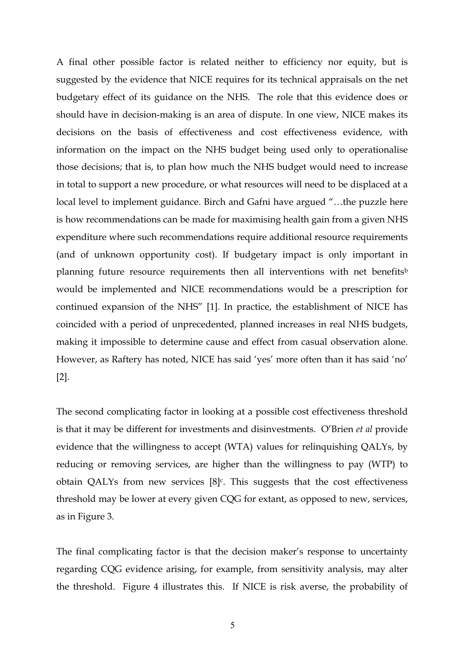A final other possible factor is related neither to efficiency nor equity, but is suggested by the evidence that NICE requires for its technical appraisals on the net budgetary effect of its guidance on the NHS. The role that this evidence does or should have in decision-making is an area of dispute. In one view, NICE makes its decisions on the basis of effectiveness and cost effectiveness evidence, with information on the impact on the NHS budget being used only to operationalise those decisions; that is, to plan how much the NHS budget would need to increase in total to support a new procedure, or what resources will need to be displaced at a local level to implement guidance. Birch and Gafni have argued "…the puzzle here is how recommendations can be made for maximising health gain from a given NHS expenditure where such recommendations require additional resource requirements (and of unknown opportunity cost). If budgetary impact is only important in planning future resource requirements then all interventions with net [b](#page-23-1)enefits<sup>b</sup> would be implemented and NICE recommendations would be a prescription for continued expansion of the NHS" [1]. In practice, the establishment of NICE has coincided with a period of unprecedented, planned increases in real NHS budgets, making it impossible to determine cause and effect from casual observation alone. However, as Raftery has noted, NICE has said 'yes' more often than it has said 'no' [2].

The second complicating factor in looking at a possible cost effectiveness threshold is that it may be different for investments and disinvestments. O'Brien *et al* provide evidence that the willingness to accept (WTA) values for relinquishing QALYs, by reducing or removing services, are higher than the willingness to pay (WTP) to obtain QALYs from new services  $[8]$ <sup>c</sup>. This suggests that the cost effectiveness threshold may be lower at every given CQG for extant, as opposed to new, services, as in Figure 3.

The final complicating factor is that the decision maker's response to uncertainty regarding CQG evidence arising, for example, from sensitivity analysis, may alter the threshold. Figure 4 illustrates this. If NICE is risk averse, the probability of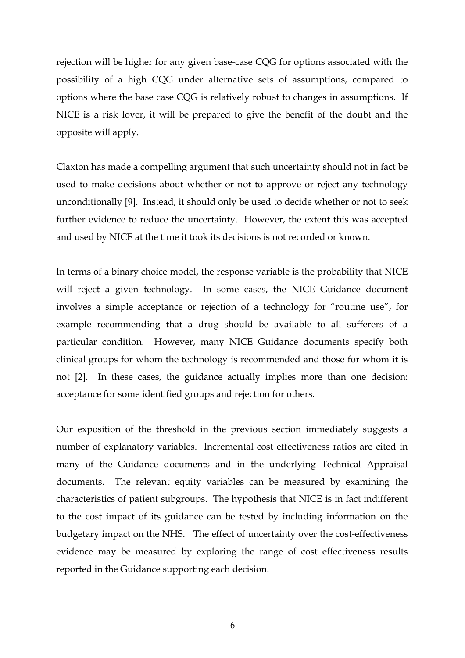rejection will be higher for any given base-case CQG for options associated with the possibility of a high CQG under alternative sets of assumptions, compared to options where the base case CQG is relatively robust to changes in assumptions. If NICE is a risk lover, it will be prepared to give the benefit of the doubt and the opposite will apply.

Claxton has made a compelling argument that such uncertainty should not in fact be used to make decisions about whether or not to approve or reject any technology unconditionally [9]. Instead, it should only be used to decide whether or not to seek further evidence to reduce the uncertainty. However, the extent this was accepted and used by NICE at the time it took its decisions is not recorded or known.

In terms of a binary choice model, the response variable is the probability that NICE will reject a given technology. In some cases, the NICE Guidance document involves a simple acceptance or rejection of a technology for "routine use", for example recommending that a drug should be available to all sufferers of a particular condition. However, many NICE Guidance documents specify both clinical groups for whom the technology is recommended and those for whom it is not [2]. In these cases, the guidance actually implies more than one decision: acceptance for some identified groups and rejection for others.

Our exposition of the threshold in the previous section immediately suggests a number of explanatory variables. Incremental cost effectiveness ratios are cited in many of the Guidance documents and in the underlying Technical Appraisal documents. The relevant equity variables can be measured by examining the characteristics of patient subgroups. The hypothesis that NICE is in fact indifferent to the cost impact of its guidance can be tested by including information on the budgetary impact on the NHS. The effect of uncertainty over the cost-effectiveness evidence may be measured by exploring the range of cost effectiveness results reported in the Guidance supporting each decision.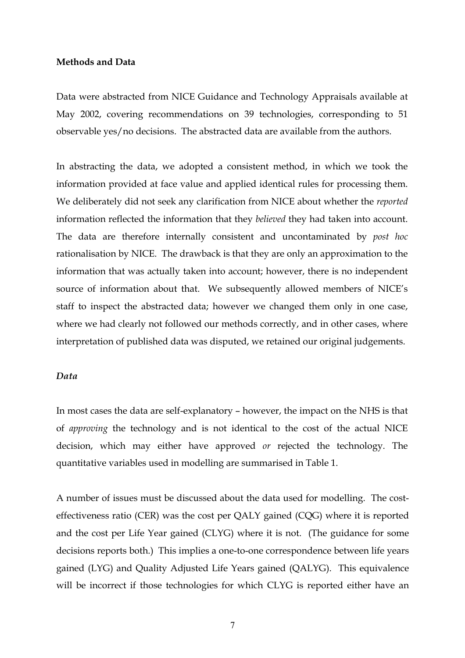#### **Methods and Data**

Data were abstracted from NICE Guidance and Technology Appraisals available at May 2002, covering recommendations on 39 technologies, corresponding to 51 observable yes/no decisions. The abstracted data are available from the authors.

In abstracting the data, we adopted a consistent method, in which we took the information provided at face value and applied identical rules for processing them. We deliberately did not seek any clarification from NICE about whether the *reported* information reflected the information that they *believed* they had taken into account. The data are therefore internally consistent and uncontaminated by *post hoc* rationalisation by NICE. The drawback is that they are only an approximation to the information that was actually taken into account; however, there is no independent source of information about that. We subsequently allowed members of NICE's staff to inspect the abstracted data; however we changed them only in one case, where we had clearly not followed our methods correctly, and in other cases, where interpretation of published data was disputed, we retained our original judgements.

#### *Data*

In most cases the data are self-explanatory – however, the impact on the NHS is that of *approving* the technology and is not identical to the cost of the actual NICE decision, which may either have approved *or* rejected the technology. The quantitative variables used in modelling are summarised in Table 1.

A number of issues must be discussed about the data used for modelling. The costeffectiveness ratio (CER) was the cost per QALY gained (CQG) where it is reported and the cost per Life Year gained (CLYG) where it is not. (The guidance for some decisions reports both.) This implies a one-to-one correspondence between life years gained (LYG) and Quality Adjusted Life Years gained (QALYG). This equivalence will be incorrect if those technologies for which CLYG is reported either have an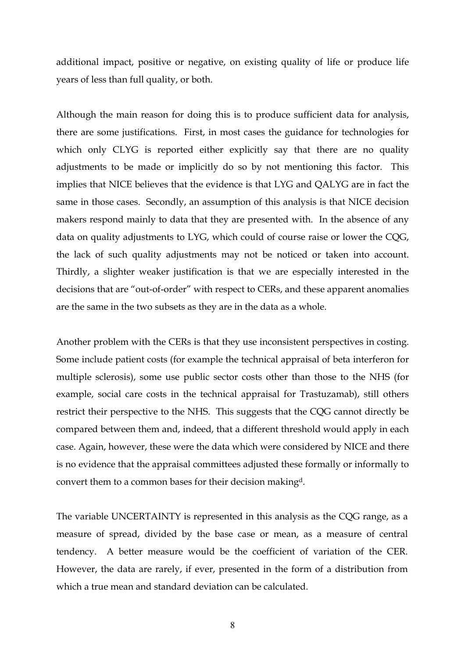additional impact, positive or negative, on existing quality of life or produce life years of less than full quality, or both.

Although the main reason for doing this is to produce sufficient data for analysis, there are some justifications. First, in most cases the guidance for technologies for which only CLYG is reported either explicitly say that there are no quality adjustments to be made or implicitly do so by not mentioning this factor. This implies that NICE believes that the evidence is that LYG and QALYG are in fact the same in those cases. Secondly, an assumption of this analysis is that NICE decision makers respond mainly to data that they are presented with. In the absence of any data on quality adjustments to LYG, which could of course raise or lower the CQG, the lack of such quality adjustments may not be noticed or taken into account. Thirdly, a slighter weaker justification is that we are especially interested in the decisions that are "out-of-order" with respect to CERs, and these apparent anomalies are the same in the two subsets as they are in the data as a whole.

Another problem with the CERs is that they use inconsistent perspectives in costing. Some include patient costs (for example the technical appraisal of beta interferon for multiple sclerosis), some use public sector costs other than those to the NHS (for example, social care costs in the technical appraisal for Trastuzamab), still others restrict their perspective to the NHS. This suggests that the CQG cannot directly be compared between them and, indeed, that a different threshold would apply in each case. Again, however, these were the data which were considered by NICE and there is no evidence that the appraisal committees adjusted these formally or informally to convert them to a common bases for their decision making[d.](#page-23-3)

The variable UNCERTAINTY is represented in this analysis as the CQG range, as a measure of spread, divided by the base case or mean, as a measure of central tendency. A better measure would be the coefficient of variation of the CER. However, the data are rarely, if ever, presented in the form of a distribution from which a true mean and standard deviation can be calculated.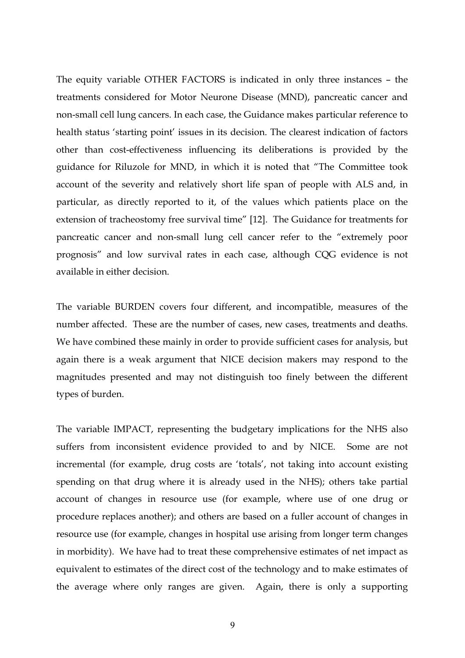The equity variable OTHER FACTORS is indicated in only three instances – the treatments considered for Motor Neurone Disease (MND), pancreatic cancer and non-small cell lung cancers. In each case, the Guidance makes particular reference to health status 'starting point' issues in its decision. The clearest indication of factors other than cost-effectiveness influencing its deliberations is provided by the guidance for Riluzole for MND, in which it is noted that "The Committee took account of the severity and relatively short life span of people with ALS and, in particular, as directly reported to it, of the values which patients place on the extension of tracheostomy free survival time" [12]. The Guidance for treatments for pancreatic cancer and non-small lung cell cancer refer to the "extremely poor prognosis" and low survival rates in each case, although CQG evidence is not available in either decision.

The variable BURDEN covers four different, and incompatible, measures of the number affected. These are the number of cases, new cases, treatments and deaths. We have combined these mainly in order to provide sufficient cases for analysis, but again there is a weak argument that NICE decision makers may respond to the magnitudes presented and may not distinguish too finely between the different types of burden.

The variable IMPACT, representing the budgetary implications for the NHS also suffers from inconsistent evidence provided to and by NICE. Some are not incremental (for example, drug costs are 'totals', not taking into account existing spending on that drug where it is already used in the NHS); others take partial account of changes in resource use (for example, where use of one drug or procedure replaces another); and others are based on a fuller account of changes in resource use (for example, changes in hospital use arising from longer term changes in morbidity). We have had to treat these comprehensive estimates of net impact as equivalent to estimates of the direct cost of the technology and to make estimates of the average where only ranges are given. Again, there is only a supporting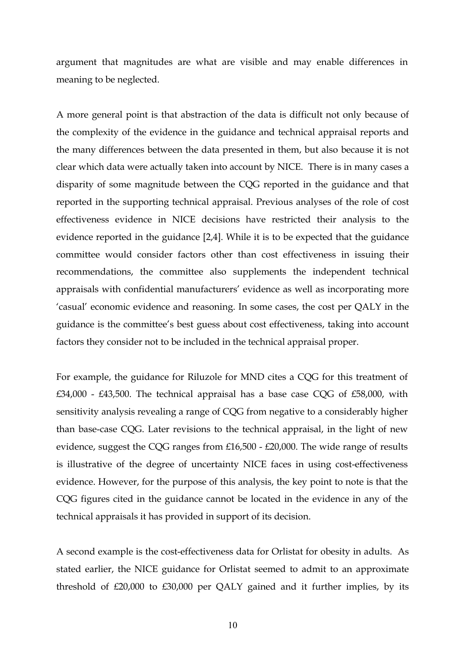argument that magnitudes are what are visible and may enable differences in meaning to be neglected.

A more general point is that abstraction of the data is difficult not only because of the complexity of the evidence in the guidance and technical appraisal reports and the many differences between the data presented in them, but also because it is not clear which data were actually taken into account by NICE. There is in many cases a disparity of some magnitude between the CQG reported in the guidance and that reported in the supporting technical appraisal. Previous analyses of the role of cost effectiveness evidence in NICE decisions have restricted their analysis to the evidence reported in the guidance [2,4]. While it is to be expected that the guidance committee would consider factors other than cost effectiveness in issuing their recommendations, the committee also supplements the independent technical appraisals with confidential manufacturers' evidence as well as incorporating more 'casual' economic evidence and reasoning. In some cases, the cost per QALY in the guidance is the committee's best guess about cost effectiveness, taking into account factors they consider not to be included in the technical appraisal proper.

For example, the guidance for Riluzole for MND cites a CQG for this treatment of  $£34,000 - £43,500$ . The technical appraisal has a base case CQG of £58,000, with sensitivity analysis revealing a range of CQG from negative to a considerably higher than base-case CQG. Later revisions to the technical appraisal, in the light of new evidence, suggest the CQG ranges from £16,500 - £20,000. The wide range of results is illustrative of the degree of uncertainty NICE faces in using cost-effectiveness evidence. However, for the purpose of this analysis, the key point to note is that the CQG figures cited in the guidance cannot be located in the evidence in any of the technical appraisals it has provided in support of its decision.

A second example is the cost-effectiveness data for Orlistat for obesity in adults. As stated earlier, the NICE guidance for Orlistat seemed to admit to an approximate threshold of £20,000 to £30,000 per QALY gained and it further implies, by its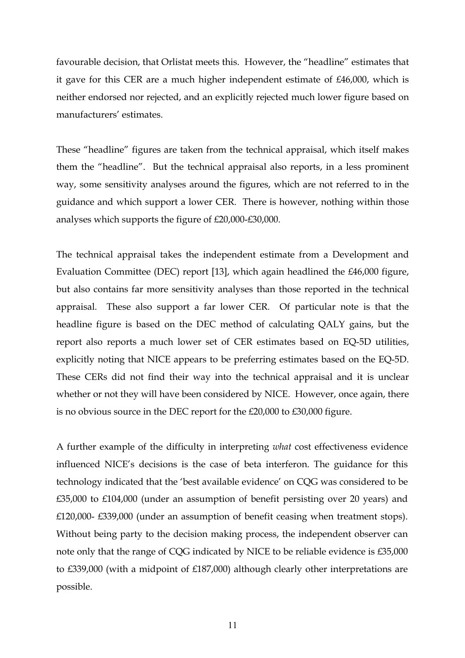favourable decision, that Orlistat meets this. However, the "headline" estimates that it gave for this CER are a much higher independent estimate of £46,000, which is neither endorsed nor rejected, and an explicitly rejected much lower figure based on manufacturers' estimates.

These "headline" figures are taken from the technical appraisal, which itself makes them the "headline". But the technical appraisal also reports, in a less prominent way, some sensitivity analyses around the figures, which are not referred to in the guidance and which support a lower CER. There is however, nothing within those analyses which supports the figure of £20,000-£30,000.

The technical appraisal takes the independent estimate from a Development and Evaluation Committee (DEC) report [13], which again headlined the £46,000 figure, but also contains far more sensitivity analyses than those reported in the technical appraisal. These also support a far lower CER. Of particular note is that the headline figure is based on the DEC method of calculating QALY gains, but the report also reports a much lower set of CER estimates based on EQ-5D utilities, explicitly noting that NICE appears to be preferring estimates based on the EQ-5D. These CERs did not find their way into the technical appraisal and it is unclear whether or not they will have been considered by NICE. However, once again, there is no obvious source in the DEC report for the £20,000 to £30,000 figure.

A further example of the difficulty in interpreting *what* cost effectiveness evidence influenced NICE's decisions is the case of beta interferon. The guidance for this technology indicated that the 'best available evidence' on CQG was considered to be £35,000 to £104,000 (under an assumption of benefit persisting over 20 years) and £120,000- £339,000 (under an assumption of benefit ceasing when treatment stops). Without being party to the decision making process, the independent observer can note only that the range of CQG indicated by NICE to be reliable evidence is £35,000 to £339,000 (with a midpoint of £187,000) although clearly other interpretations are possible.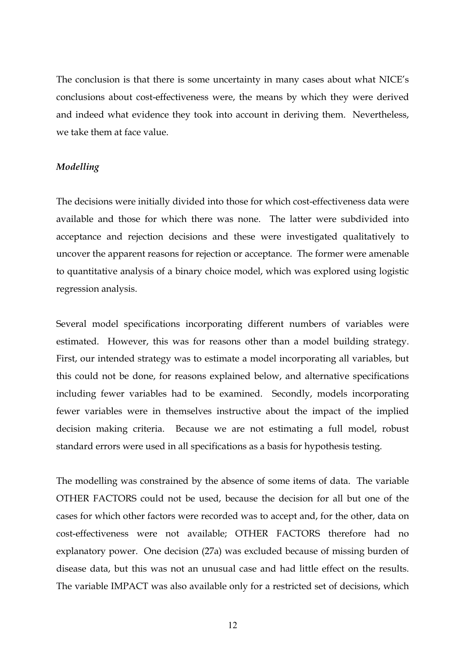The conclusion is that there is some uncertainty in many cases about what NICE's conclusions about cost-effectiveness were, the means by which they were derived and indeed what evidence they took into account in deriving them. Nevertheless, we take them at face value.

#### *Modelling*

The decisions were initially divided into those for which cost-effectiveness data were available and those for which there was none. The latter were subdivided into acceptance and rejection decisions and these were investigated qualitatively to uncover the apparent reasons for rejection or acceptance. The former were amenable to quantitative analysis of a binary choice model, which was explored using logistic regression analysis.

Several model specifications incorporating different numbers of variables were estimated. However, this was for reasons other than a model building strategy. First, our intended strategy was to estimate a model incorporating all variables, but this could not be done, for reasons explained below, and alternative specifications including fewer variables had to be examined. Secondly, models incorporating fewer variables were in themselves instructive about the impact of the implied decision making criteria. Because we are not estimating a full model, robust standard errors were used in all specifications as a basis for hypothesis testing.

The modelling was constrained by the absence of some items of data. The variable OTHER FACTORS could not be used, because the decision for all but one of the cases for which other factors were recorded was to accept and, for the other, data on cost-effectiveness were not available; OTHER FACTORS therefore had no explanatory power. One decision (27a) was excluded because of missing burden of disease data, but this was not an unusual case and had little effect on the results. The variable IMPACT was also available only for a restricted set of decisions, which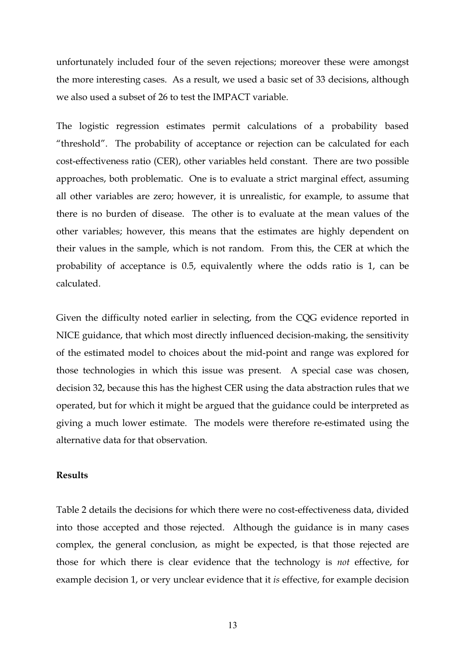unfortunately included four of the seven rejections; moreover these were amongst the more interesting cases. As a result, we used a basic set of 33 decisions, although we also used a subset of 26 to test the IMPACT variable.

The logistic regression estimates permit calculations of a probability based "threshold". The probability of acceptance or rejection can be calculated for each cost-effectiveness ratio (CER), other variables held constant. There are two possible approaches, both problematic. One is to evaluate a strict marginal effect, assuming all other variables are zero; however, it is unrealistic, for example, to assume that there is no burden of disease. The other is to evaluate at the mean values of the other variables; however, this means that the estimates are highly dependent on their values in the sample, which is not random. From this, the CER at which the probability of acceptance is 0.5, equivalently where the odds ratio is 1, can be calculated.

Given the difficulty noted earlier in selecting, from the CQG evidence reported in NICE guidance, that which most directly influenced decision-making, the sensitivity of the estimated model to choices about the mid-point and range was explored for those technologies in which this issue was present. A special case was chosen, decision 32, because this has the highest CER using the data abstraction rules that we operated, but for which it might be argued that the guidance could be interpreted as giving a much lower estimate. The models were therefore re-estimated using the alternative data for that observation.

#### **Results**

Table 2 details the decisions for which there were no cost-effectiveness data, divided into those accepted and those rejected. Although the guidance is in many cases complex, the general conclusion, as might be expected, is that those rejected are those for which there is clear evidence that the technology is *not* effective, for example decision 1, or very unclear evidence that it *is* effective, for example decision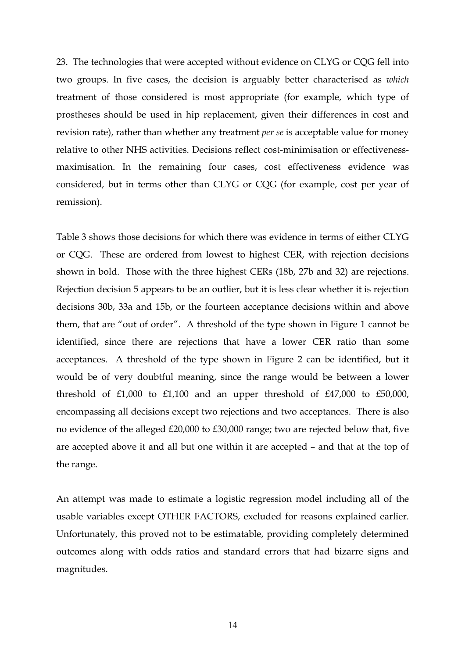23. The technologies that were accepted without evidence on CLYG or CQG fell into two groups. In five cases, the decision is arguably better characterised as *which* treatment of those considered is most appropriate (for example, which type of prostheses should be used in hip replacement, given their differences in cost and revision rate), rather than whether any treatment *per se* is acceptable value for money relative to other NHS activities. Decisions reflect cost-minimisation or effectivenessmaximisation. In the remaining four cases, cost effectiveness evidence was considered, but in terms other than CLYG or CQG (for example, cost per year of remission).

Table 3 shows those decisions for which there was evidence in terms of either CLYG or CQG. These are ordered from lowest to highest CER, with rejection decisions shown in bold. Those with the three highest CERs (18b, 27b and 32) are rejections. Rejection decision 5 appears to be an outlier, but it is less clear whether it is rejection decisions 30b, 33a and 15b, or the fourteen acceptance decisions within and above them, that are "out of order". A threshold of the type shown in Figure 1 cannot be identified, since there are rejections that have a lower CER ratio than some acceptances. A threshold of the type shown in Figure 2 can be identified, but it would be of very doubtful meaning, since the range would be between a lower threshold of £1,000 to £1,100 and an upper threshold of £47,000 to £50,000, encompassing all decisions except two rejections and two acceptances. There is also no evidence of the alleged £20,000 to £30,000 range; two are rejected below that, five are accepted above it and all but one within it are accepted – and that at the top of the range.

An attempt was made to estimate a logistic regression model including all of the usable variables except OTHER FACTORS, excluded for reasons explained earlier. Unfortunately, this proved not to be estimatable, providing completely determined outcomes along with odds ratios and standard errors that had bizarre signs and magnitudes.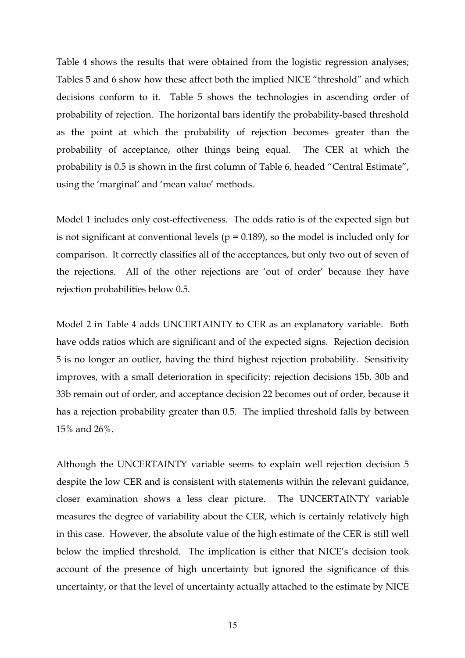Table 4 shows the results that were obtained from the logistic regression analyses; Tables 5 and 6 show how these affect both the implied NICE "threshold" and which decisions conform to it. Table 5 shows the technologies in ascending order of probability of rejection. The horizontal bars identify the probability-based threshold as the point at which the probability of rejection becomes greater than the probability of acceptance, other things being equal. The CER at which the probability is 0.5 is shown in the first column of Table 6, headed "Central Estimate", using the 'marginal' and 'mean value' methods.

Model 1 includes only cost-effectiveness. The odds ratio is of the expected sign but is not significant at conventional levels ( $p = 0.189$ ), so the model is included only for comparison. It correctly classifies all of the acceptances, but only two out of seven of the rejections. All of the other rejections are 'out of order' because they have rejection probabilities below 0.5.

Model 2 in Table 4 adds UNCERTAINTY to CER as an explanatory variable. Both have odds ratios which are significant and of the expected signs. Rejection decision 5 is no longer an outlier, having the third highest rejection probability. Sensitivity improves, with a small deterioration in specificity: rejection decisions 15b, 30b and 33b remain out of order, and acceptance decision 22 becomes out of order, because it has a rejection probability greater than 0.5. The implied threshold falls by between 15% and 26%.

Although the UNCERTAINTY variable seems to explain well rejection decision 5 despite the low CER and is consistent with statements within the relevant guidance, closer examination shows a less clear picture. The UNCERTAINTY variable measures the degree of variability about the CER, which is certainly relatively high in this case. However, the absolute value of the high estimate of the CER is still well below the implied threshold. The implication is either that NICE's decision took account of the presence of high uncertainty but ignored the significance of this uncertainty, or that the level of uncertainty actually attached to the estimate by NICE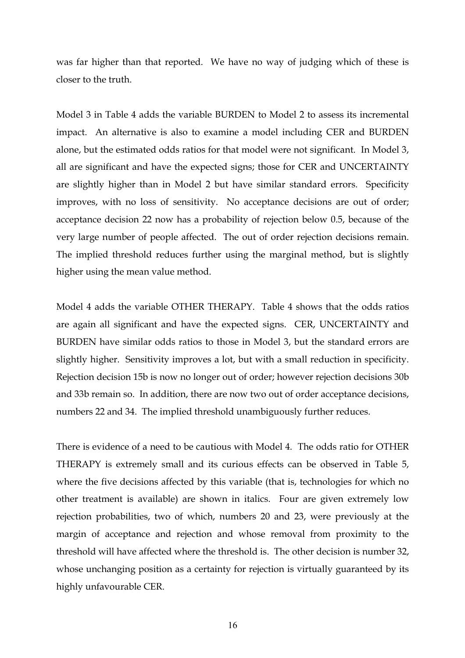was far higher than that reported. We have no way of judging which of these is closer to the truth.

Model 3 in Table 4 adds the variable BURDEN to Model 2 to assess its incremental impact. An alternative is also to examine a model including CER and BURDEN alone, but the estimated odds ratios for that model were not significant. In Model 3, all are significant and have the expected signs; those for CER and UNCERTAINTY are slightly higher than in Model 2 but have similar standard errors. Specificity improves, with no loss of sensitivity. No acceptance decisions are out of order; acceptance decision 22 now has a probability of rejection below 0.5, because of the very large number of people affected. The out of order rejection decisions remain. The implied threshold reduces further using the marginal method, but is slightly higher using the mean value method.

Model 4 adds the variable OTHER THERAPY. Table 4 shows that the odds ratios are again all significant and have the expected signs. CER, UNCERTAINTY and BURDEN have similar odds ratios to those in Model 3, but the standard errors are slightly higher. Sensitivity improves a lot, but with a small reduction in specificity. Rejection decision 15b is now no longer out of order; however rejection decisions 30b and 33b remain so. In addition, there are now two out of order acceptance decisions, numbers 22 and 34. The implied threshold unambiguously further reduces.

There is evidence of a need to be cautious with Model 4. The odds ratio for OTHER THERAPY is extremely small and its curious effects can be observed in Table 5, where the five decisions affected by this variable (that is, technologies for which no other treatment is available) are shown in italics. Four are given extremely low rejection probabilities, two of which, numbers 20 and 23, were previously at the margin of acceptance and rejection and whose removal from proximity to the threshold will have affected where the threshold is. The other decision is number 32, whose unchanging position as a certainty for rejection is virtually guaranteed by its highly unfavourable CER.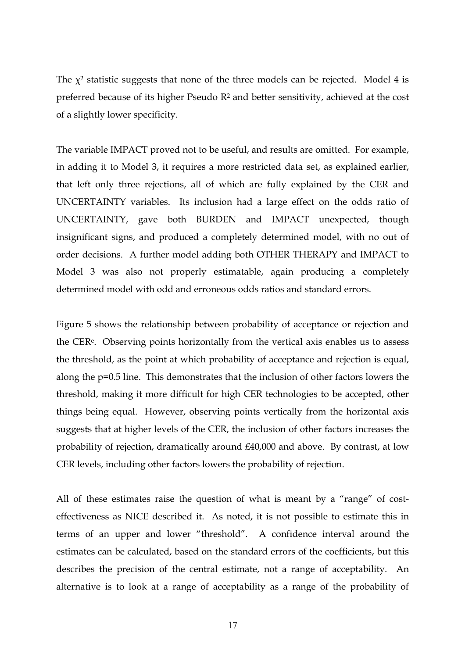The  $\chi^2$  statistic suggests that none of the three models can be rejected. Model 4 is preferred because of its higher Pseudo R2 and better sensitivity, achieved at the cost of a slightly lower specificity.

The variable IMPACT proved not to be useful, and results are omitted. For example, in adding it to Model 3, it requires a more restricted data set, as explained earlier, that left only three rejections, all of which are fully explained by the CER and UNCERTAINTY variables. Its inclusion had a large effect on the odds ratio of UNCERTAINTY, gave both BURDEN and IMPACT unexpected, though insignificant signs, and produced a completely determined model, with no out of order decisions. A further model adding both OTHER THERAPY and IMPACT to Model 3 was also not properly estimatable, again producing a completely determined model with odd and erroneous odds ratios and standard errors.

Figure 5 shows the relationship between probability of acceptance or rejection and the CE[Re.](#page-23-4) Observing points horizontally from the vertical axis enables us to assess the threshold, as the point at which probability of acceptance and rejection is equal, along the p=0.5 line. This demonstrates that the inclusion of other factors lowers the threshold, making it more difficult for high CER technologies to be accepted, other things being equal. However, observing points vertically from the horizontal axis suggests that at higher levels of the CER, the inclusion of other factors increases the probability of rejection, dramatically around £40,000 and above. By contrast, at low CER levels, including other factors lowers the probability of rejection.

All of these estimates raise the question of what is meant by a "range" of costeffectiveness as NICE described it. As noted, it is not possible to estimate this in terms of an upper and lower "threshold". A confidence interval around the estimates can be calculated, based on the standard errors of the coefficients, but this describes the precision of the central estimate, not a range of acceptability. An alternative is to look at a range of acceptability as a range of the probability of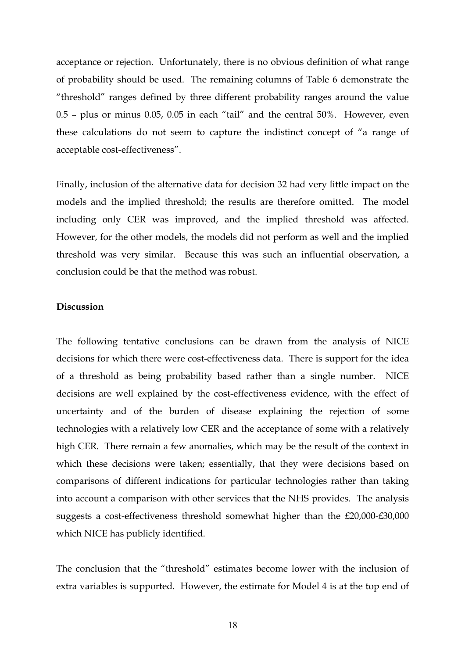acceptance or rejection. Unfortunately, there is no obvious definition of what range of probability should be used. The remaining columns of Table 6 demonstrate the "threshold" ranges defined by three different probability ranges around the value 0.5 – plus or minus 0.05, 0.05 in each "tail" and the central 50%. However, even these calculations do not seem to capture the indistinct concept of "a range of acceptable cost-effectiveness".

Finally, inclusion of the alternative data for decision 32 had very little impact on the models and the implied threshold; the results are therefore omitted. The model including only CER was improved, and the implied threshold was affected. However, for the other models, the models did not perform as well and the implied threshold was very similar. Because this was such an influential observation, a conclusion could be that the method was robust.

#### **Discussion**

The following tentative conclusions can be drawn from the analysis of NICE decisions for which there were cost-effectiveness data. There is support for the idea of a threshold as being probability based rather than a single number. NICE decisions are well explained by the cost-effectiveness evidence, with the effect of uncertainty and of the burden of disease explaining the rejection of some technologies with a relatively low CER and the acceptance of some with a relatively high CER. There remain a few anomalies, which may be the result of the context in which these decisions were taken; essentially, that they were decisions based on comparisons of different indications for particular technologies rather than taking into account a comparison with other services that the NHS provides. The analysis suggests a cost-effectiveness threshold somewhat higher than the £20,000-£30,000 which NICE has publicly identified.

The conclusion that the "threshold" estimates become lower with the inclusion of extra variables is supported. However, the estimate for Model 4 is at the top end of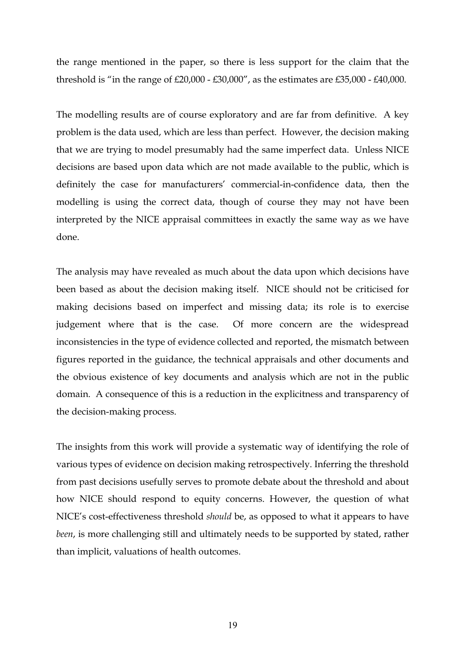the range mentioned in the paper, so there is less support for the claim that the threshold is "in the range of £20,000 - £30,000", as the estimates are £35,000 - £40,000.

The modelling results are of course exploratory and are far from definitive. A key problem is the data used, which are less than perfect. However, the decision making that we are trying to model presumably had the same imperfect data. Unless NICE decisions are based upon data which are not made available to the public, which is definitely the case for manufacturers' commercial-in-confidence data, then the modelling is using the correct data, though of course they may not have been interpreted by the NICE appraisal committees in exactly the same way as we have done.

The analysis may have revealed as much about the data upon which decisions have been based as about the decision making itself. NICE should not be criticised for making decisions based on imperfect and missing data; its role is to exercise judgement where that is the case. Of more concern are the widespread inconsistencies in the type of evidence collected and reported, the mismatch between figures reported in the guidance, the technical appraisals and other documents and the obvious existence of key documents and analysis which are not in the public domain. A consequence of this is a reduction in the explicitness and transparency of the decision-making process.

The insights from this work will provide a systematic way of identifying the role of various types of evidence on decision making retrospectively. Inferring the threshold from past decisions usefully serves to promote debate about the threshold and about how NICE should respond to equity concerns. However, the question of what NICE's cost-effectiveness threshold *should* be, as opposed to what it appears to have *been*, is more challenging still and ultimately needs to be supported by stated, rather than implicit, valuations of health outcomes.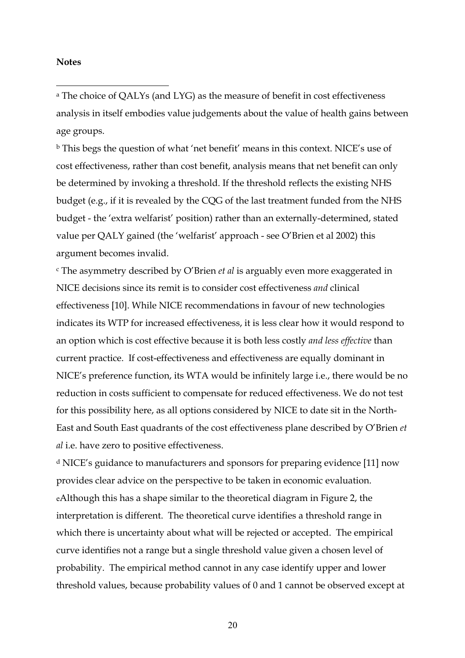#### **Notes**

 $\overline{a}$ 

a The choice of QALYs (and LYG) as the measure of benefit in cost effectiveness analysis in itself embodies value judgements about the value of health gains between age groups.

b This begs the question of what 'net benefit' means in this context. NICE's use of cost effectiveness, rather than cost benefit, analysis means that net benefit can only be determined by invoking a threshold. If the threshold reflects the existing NHS budget (e.g., if it is revealed by the CQG of the last treatment funded from the NHS budget - the 'extra welfarist' position) rather than an externally-determined, stated value per QALY gained (the 'welfarist' approach - see O'Brien et al 2002) this argument becomes invalid.

c The asymmetry described by O'Brien *et al* is arguably even more exaggerated in NICE decisions since its remit is to consider cost effectiveness *and* clinical effectiveness [10]. While NICE recommendations in favour of new technologies indicates its WTP for increased effectiveness, it is less clear how it would respond to an option which is cost effective because it is both less costly *and less effective* than current practice. If cost-effectiveness and effectiveness are equally dominant in NICE's preference function, its WTA would be infinitely large i.e., there would be no reduction in costs sufficient to compensate for reduced effectiveness. We do not test for this possibility here, as all options considered by NICE to date sit in the North-East and South East quadrants of the cost effectiveness plane described by O'Brien *et al* i.e. have zero to positive effectiveness.

d NICE's guidance to manufacturers and sponsors for preparing evidence [11] now provides clear advice on the perspective to be taken in economic evaluation. eAlthough this has a shape similar to the theoretical diagram in Figure 2, the interpretation is different. The theoretical curve identifies a threshold range in which there is uncertainty about what will be rejected or accepted. The empirical curve identifies not a range but a single threshold value given a chosen level of probability. The empirical method cannot in any case identify upper and lower threshold values, because probability values of 0 and 1 cannot be observed except at

20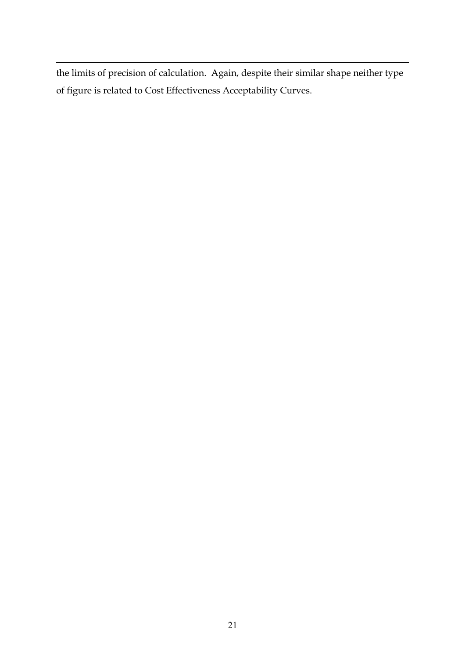$\overline{a}$ the limits of precision of calculation. Again, despite their similar shape neither type of figure is related to Cost Effectiveness Acceptability Curves.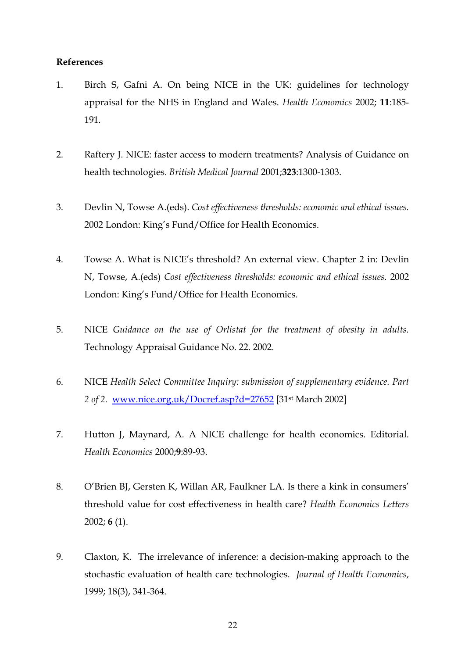#### **References**

- <span id="page-23-0"></span>1. Birch S, Gafni A. On being NICE in the UK: guidelines for technology appraisal for the NHS in England and Wales. *Health Economics* 2002; **11**:185- 191.
- <span id="page-23-1"></span>2. Raftery J. NICE: faster access to modern treatments? Analysis of Guidance on health technologies. *British Medical Journal* 2001;**323**:1300-1303.
- 3. Devlin N, Towse A.(eds). *Cost effectiveness thresholds: economic and ethical issues.* 2002 London: King's Fund/Office for Health Economics.
- <span id="page-23-2"></span>4. Towse A. What is NICE's threshold? An external view. Chapter 2 in: Devlin N, Towse, A.(eds) *Cost effectiveness thresholds: economic and ethical issues.* 2002 London: King's Fund/Office for Health Economics.
- 5. NICE *Guidance on the use of Orlistat for the treatment of obesity in adults.* Technology Appraisal Guidance No. 22. 2002.
- 6. NICE *Health Select Committee Inquiry: submission of supplementary evidence. Part 2 of 2.* [www.nice.org.uk/Docref.asp?d=27652](http://www.nice.org.uk/Docref.asp?d=27652) [31st March 2002]
- 7. Hutton J, Maynard, A. A NICE challenge for health economics. Editorial. *Health Economics* 2000;**9**:89-93.
- <span id="page-23-4"></span><span id="page-23-3"></span>8. O'Brien BJ, Gersten K, Willan AR, Faulkner LA. Is there a kink in consumers' threshold value for cost effectiveness in health care? *Health Economics Letters* 2002; **6** (1).
- 9. Claxton, K. The irrelevance of inference: a decision-making approach to the stochastic evaluation of health care technologies. *Journal of Health Economics*, 1999; 18(3), 341-364.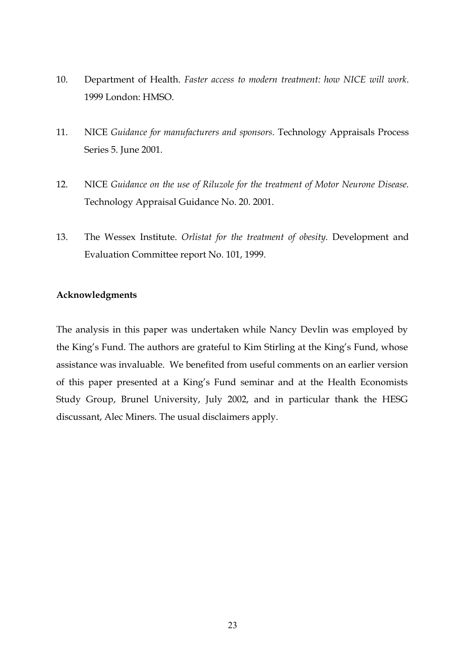- 10. Department of Health. *Faster access to modern treatment: how NICE will work*. 1999 London: HMSO.
- 11. NICE *Guidance for manufacturers and sponsors.* Technology Appraisals Process Series 5. June 2001.
- 12. NICE *Guidance on the use of Riluzole for the treatment of Motor Neurone Disease.* Technology Appraisal Guidance No. 20. 2001.
- 13. The Wessex Institute. *Orlistat for the treatment of obesity*. Development and Evaluation Committee report No. 101, 1999.

#### **Acknowledgments**

The analysis in this paper was undertaken while Nancy Devlin was employed by the King's Fund. The authors are grateful to Kim Stirling at the King's Fund, whose assistance was invaluable. We benefited from useful comments on an earlier version of this paper presented at a King's Fund seminar and at the Health Economists Study Group, Brunel University, July 2002, and in particular thank the HESG discussant, Alec Miners. The usual disclaimers apply.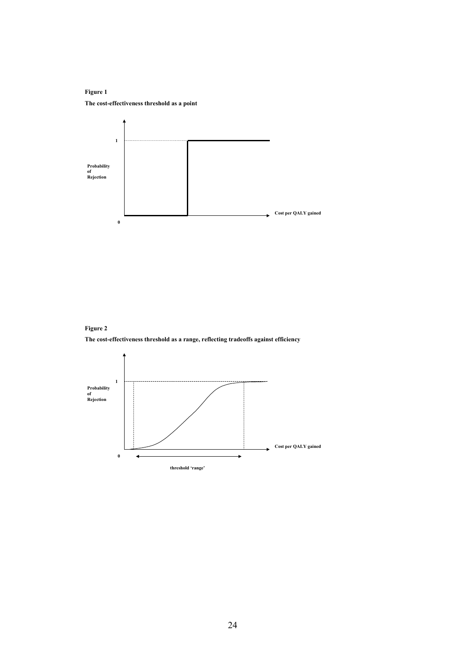**Figure 1 The cost-effectiveness threshold as a point**



**Figure 2**

**The cost-effectiveness threshold as a range, reflecting tradeoffs against efficiency**

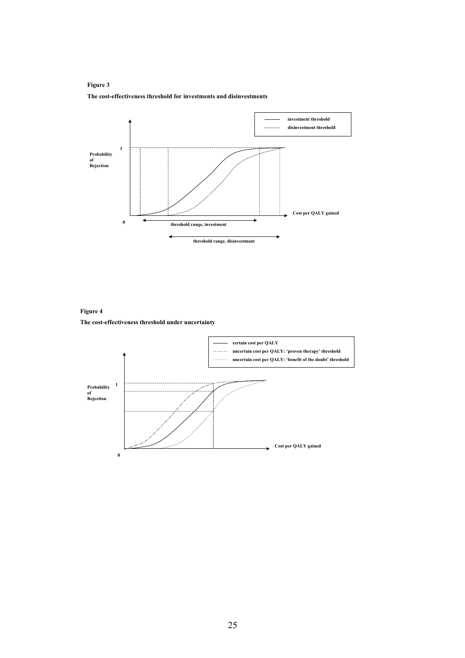#### **Figure 3**

#### **The cost-effectiveness threshold for investments and disinvestments**



**Figure 4 The cost-effectiveness threshold under uncertainty**

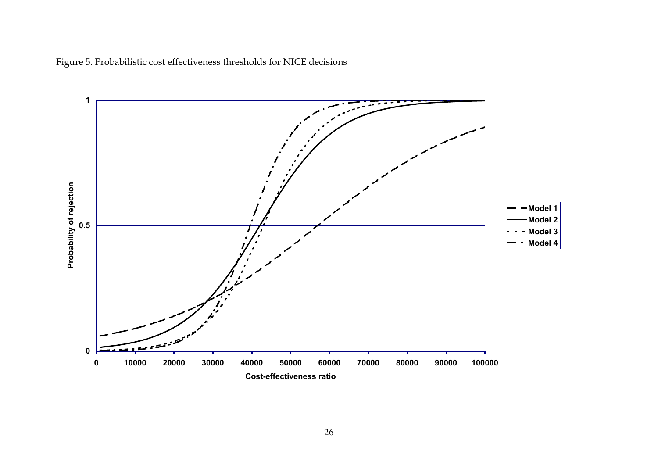Figure 5. Probabilistic cost effectiveness thresholds for NICE decisions

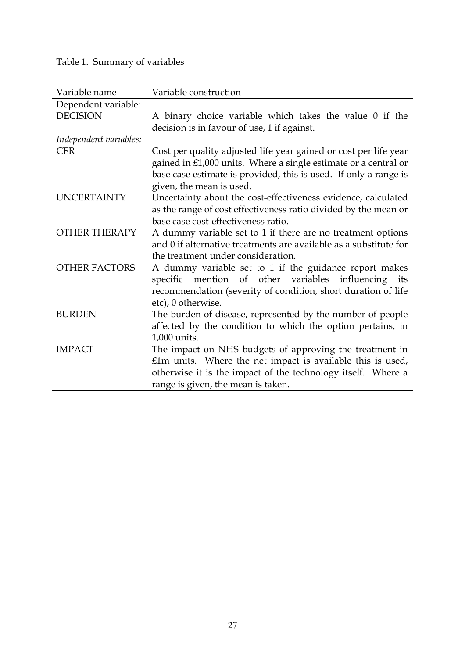## Table 1. Summary of variables

| Variable name          | Variable construction                                             |
|------------------------|-------------------------------------------------------------------|
| Dependent variable:    |                                                                   |
| <b>DECISION</b>        | A binary choice variable which takes the value 0 if the           |
|                        | decision is in favour of use, 1 if against.                       |
|                        |                                                                   |
| Independent variables: |                                                                   |
| <b>CER</b>             | Cost per quality adjusted life year gained or cost per life year  |
|                        | gained in £1,000 units. Where a single estimate or a central or   |
|                        | base case estimate is provided, this is used. If only a range is  |
|                        | given, the mean is used.                                          |
| <b>UNCERTAINTY</b>     | Uncertainty about the cost-effectiveness evidence, calculated     |
|                        | as the range of cost effectiveness ratio divided by the mean or   |
|                        | base case cost-effectiveness ratio.                               |
| <b>OTHER THERAPY</b>   | A dummy variable set to 1 if there are no treatment options       |
|                        | and 0 if alternative treatments are available as a substitute for |
|                        | the treatment under consideration.                                |
| <b>OTHER FACTORS</b>   | A dummy variable set to 1 if the guidance report makes            |
|                        | mention of other variables influencing its<br>specific            |
|                        | recommendation (severity of condition, short duration of life     |
|                        | etc), 0 otherwise.                                                |
| <b>BURDEN</b>          | The burden of disease, represented by the number of people        |
|                        | affected by the condition to which the option pertains, in        |
|                        | 1,000 units.                                                      |
| <b>IMPACT</b>          |                                                                   |
|                        | The impact on NHS budgets of approving the treatment in           |
|                        | £1m units. Where the net impact is available this is used,        |
|                        | otherwise it is the impact of the technology itself. Where a      |
|                        | range is given, the mean is taken.                                |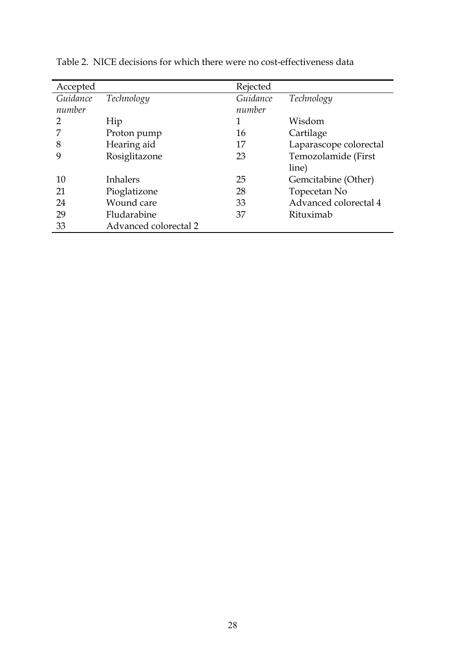| Accepted |                       | Rejected |                        |
|----------|-----------------------|----------|------------------------|
| Guidance | Technology            | Guidance | Technology             |
| number   |                       | number   |                        |
| 2        | Hip                   | 1        | Wisdom                 |
|          | Proton pump           | 16       | Cartilage              |
| 8        | Hearing aid           | 17       | Laparascope colorectal |
|          | Rosiglitazone         | 23       | Temozolamide (First    |
|          |                       |          | line)                  |
| 10       | <b>Inhalers</b>       | 25       | Gemcitabine (Other)    |
| 21       | Pioglatizone          | 28       | Topecetan No           |
| 24       | Wound care            | 33       | Advanced colorectal 4  |
| 29       | Fludarabine           | 37       | Rituximab              |
| 33       | Advanced colorectal 2 |          |                        |

Table 2. NICE decisions for which there were no cost-effectiveness data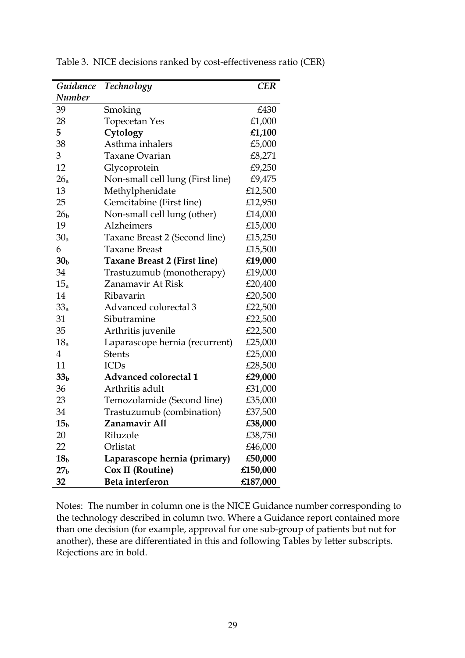| Guidance        | Technology                          | <b>CER</b> |
|-----------------|-------------------------------------|------------|
| <b>Number</b>   |                                     |            |
| 39              | Smoking                             | £430       |
| 28              | <b>Topecetan Yes</b>                | £1,000     |
| 5               | Cytology                            | £1,100     |
| 38              | Asthma inhalers                     | £5,000     |
| 3               | <b>Taxane Ovarian</b>               | £8,271     |
| 12              | Glycoprotein                        | £9,250     |
| 26 <sub>a</sub> | Non-small cell lung (First line)    | £9,475     |
| 13              | Methylphenidate                     | £12,500    |
| 25              | Gemcitabine (First line)            | £12,950    |
| 26 <sub>b</sub> | Non-small cell lung (other)         | £14,000    |
| 19              | Alzheimers                          | £15,000    |
| 30 <sub>a</sub> | Taxane Breast 2 (Second line)       | £15,250    |
| 6               | <b>Taxane Breast</b>                | £15,500    |
| 30 <sub>b</sub> | <b>Taxane Breast 2 (First line)</b> | £19,000    |
| 34              | Trastuzumub (monotherapy)           | £19,000    |
| $15_a$          | Zanamavir At Risk                   | £20,400    |
| 14              | Ribavarin                           | £20,500    |
| $33_a$          | Advanced colorectal 3               | £22,500    |
| 31              | Sibutramine                         | £22,500    |
| 35              | Arthritis juvenile                  | £22,500    |
| 18 <sub>a</sub> | Laparascope hernia (recurrent)      | £25,000    |
| $\overline{4}$  | <b>Stents</b>                       | £25,000    |
| 11              | <b>ICDs</b>                         | £28,500    |
| 33 <sub>b</sub> | <b>Advanced colorectal 1</b>        | £29,000    |
| 36              | Arthritis adult                     | £31,000    |
| 23              | Temozolamide (Second line)          | £35,000    |
| 34              | Trastuzumub (combination)           | £37,500    |
| 15 <sub>b</sub> | Zanamavir All                       | £38,000    |
| 20              | Riluzole                            | £38,750    |
| 22              | Orlistat                            | £46,000    |
| 18 <sub>b</sub> | Laparascope hernia (primary)        | £50,000    |
| 27 <sub>b</sub> | Cox II (Routine)                    | £150,000   |
| 32              | Beta interferon                     | £187,000   |

Table 3. NICE decisions ranked by cost-effectiveness ratio (CER)

Notes: The number in column one is the NICE Guidance number corresponding to the technology described in column two. Where a Guidance report contained more than one decision (for example, approval for one sub-group of patients but not for another), these are differentiated in this and following Tables by letter subscripts. Rejections are in bold.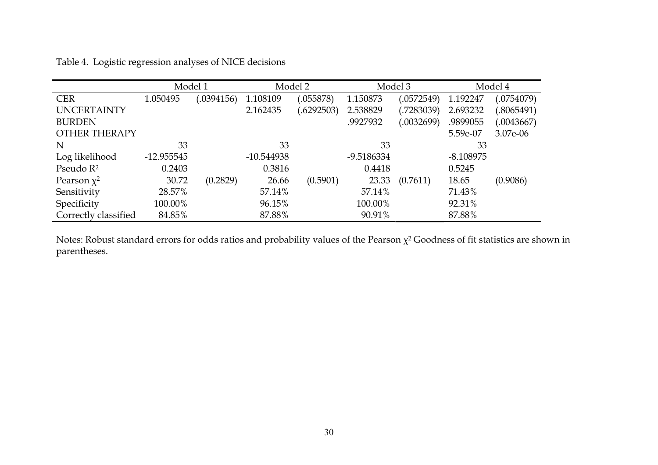|                      | Model 1      |           |              | Model 2    |            | Model 3     | Model 4     |             |  |
|----------------------|--------------|-----------|--------------|------------|------------|-------------|-------------|-------------|--|
| <b>CER</b>           | 1.050495     | (0394156) | 1.108109     | .055878)   | 1.150873   | (0572549)   | 1.192247    | (.0754079)  |  |
| <b>UNCERTAINTY</b>   |              |           | 2.162435     | (.6292503) | 2.538829   | (0.7283039) | 2.693232    | (.8065491)  |  |
| <b>BURDEN</b>        |              |           |              |            | .9927932   | (0.032699)  | .9899055    | (0.0043667) |  |
| <b>OTHER THERAPY</b> |              |           |              |            |            |             | 5.59e-07    | 3.07e-06    |  |
| N                    | 33           |           | 33           |            | 33         |             | 33          |             |  |
| Log likelihood       | $-12.955545$ |           | $-10.544938$ |            | -9.5186334 |             | $-8.108975$ |             |  |
| Pseudo $R^2$         | 0.2403       |           | 0.3816       |            | 0.4418     |             | 0.5245      |             |  |
| Pearson $\chi^2$     | 30.72        | (0.2829)  | 26.66        | (0.5901)   | 23.33      | (0.7611)    | 18.65       | (0.9086)    |  |
| Sensitivity          | 28.57%       |           | 57.14%       |            | 57.14%     |             | 71.43%      |             |  |
| Specificity          | 100.00%      |           | 96.15%       |            | 100.00%    |             | 92.31%      |             |  |
| Correctly classified | 84.85%       |           | 87.88%       |            | 90.91%     |             | 87.88%      |             |  |

Table 4. Logistic regression analyses of NICE decisions

Notes: Robust standard errors for odds ratios and probability values of the Pearson  $\chi^2$  Goodness of fit statistics are shown in parentheses.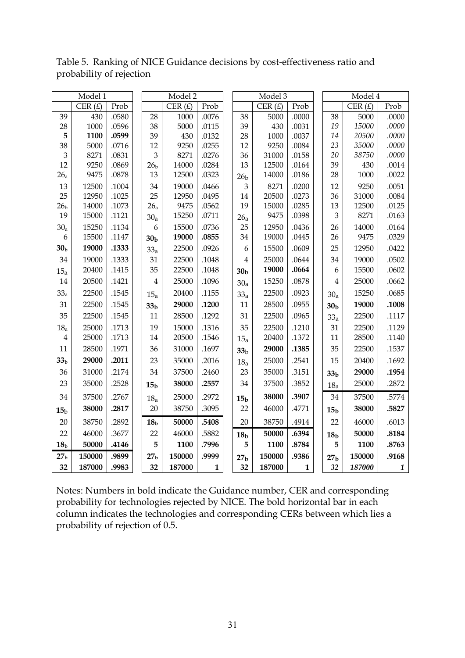|                         | Model 1        |       |                  | Model 2   |       |                 | Model 3       | Model 4      |  |                      |               |              |
|-------------------------|----------------|-------|------------------|-----------|-------|-----------------|---------------|--------------|--|----------------------|---------------|--------------|
|                         | CER $(E)$      | Prob  |                  | CER $(E)$ | Prob  |                 | CER $(E)$     | Prob         |  |                      | CER $(E)$     | Prob         |
| 39                      | 430            | .0580 | 28               | 1000      | .0076 | 38              | 5000          | .0000        |  | 38                   | 5000          | .0000        |
| 28                      | 1000           | .0596 | 38               | 5000      | .0115 | 39              | 430           | .0031        |  | 19                   | 15000         | .0000        |
| 5                       | 1100           | .0599 | 39               | 430       | .0132 | 28              | 1000          | .0037        |  | 14                   | 20500         | .0000        |
| 38                      | 5000           | .0716 | 12               | 9250      | .0255 | 12              | 9250          | .0084        |  | 23                   | 35000         | .0000        |
| 3                       | 8271           | .0831 | 3                | 8271      | .0276 | 36              | 31000         | .0158        |  | 20                   | 38750         | .0000        |
| 12                      | 9250           | .0869 | 26 <sub>b</sub>  | 14000     | .0284 | 13              | 12500         | .0164        |  | 39                   | 430           | .0014        |
| 26 <sub>a</sub>         | 9475           | .0878 | 13               | 12500     | .0323 | 26 <sub>b</sub> | 14000         | .0186        |  | 28                   | 1000          | .0022        |
| 13                      | 12500          | .1004 | 34               | 19000     | .0466 | $\mathfrak{Z}$  | 8271          | .0200        |  | 12                   | 9250          | .0051        |
| 25                      | 12950          | .1025 | 25               | 12950     | .0495 | 14              | 20500         | .0273        |  | 36                   | 31000         | .0084        |
| 26 <sub>b</sub><br>19   | 14000<br>15000 | .1073 | 26 <sub>a</sub>  | 9475      | .0562 | 19              | 15000<br>9475 | .0285        |  | 13<br>$\mathfrak{B}$ | 12500<br>8271 | .0125        |
|                         |                | .1121 | 30 <sub>a</sub>  | 15250     | .0711 | 26a             |               | .0398        |  |                      |               | .0163        |
| 30 <sub>a</sub>         | 15250          | .1134 | $\boldsymbol{6}$ | 15500     | .0736 | 25              | 12950         | .0436        |  | 26                   | 14000         | .0164        |
| 6                       | 15500          | .1147 | 30 <sub>b</sub>  | 19000     | .0855 | 34              | 19000         | .0445        |  | 26                   | 9475          | .0329        |
| 30 <sub>b</sub>         | 19000          | .1333 | 33 <sub>a</sub>  | 22500     | .0926 | 6               | 15500         | .0609        |  | 25                   | 12950         | .0422        |
| 34                      | 19000          | .1333 | 31               | 22500     | .1048 | 4               | 25000         | .0644        |  | 34                   | 19000         | .0502        |
| 15 <sub>a</sub>         | 20400          | .1415 | 35               | 22500     | .1048 | 30 <sub>b</sub> | 19000         | .0664        |  | 6                    | 15500         | .0602        |
| 14                      | 20500          | .1421 | $\overline{4}$   | 25000     | .1096 | 30 <sub>a</sub> | 15250         | .0878        |  | $\overline{4}$       | 25000         | .0662        |
| $33_a$                  | 22500          | .1545 | 15 <sub>a</sub>  | 20400     | .1155 | 33a             | 22500         | .0923        |  | 30 <sub>a</sub>      | 15250         | .0685        |
| 31                      | 22500          | .1545 | 33 <sub>b</sub>  | 29000     | .1200 | 11              | 28500         | .0955        |  | 30 <sub>b</sub>      | 19000         | .1008        |
| 35                      | 22500          | .1545 | 11               | 28500     | .1292 | 31              | 22500         | .0965        |  | 33 <sub>a</sub>      | 22500         | .1117        |
| 18 <sub>a</sub>         | 25000          | .1713 | 19               | 15000     | .1316 | 35              | 22500         | .1210        |  | 31                   | 22500         | .1129        |
| $\overline{\mathbf{4}}$ | 25000          | .1713 | 14               | 20500     | .1546 | 15 <sub>a</sub> | 20400         | .1372        |  | 11                   | 28500         | .1140        |
| 11                      | 28500          | .1971 | 36               | 31000     | .1697 | 33 <sub>b</sub> | 29000         | .1385        |  | 35                   | 22500         | .1537        |
| 33 <sub>b</sub>         | 29000          | .2011 | 23               | 35000     | .2016 | 18 <sub>a</sub> | 25000         | .2541        |  | 15                   | 20400         | .1692        |
| 36                      | 31000          | .2174 | 34               | 37500     | .2460 | 23              | 35000         | .3151        |  | 33 <sub>b</sub>      | 29000         | .1954        |
| 23                      | 35000          | .2528 | 15 <sub>b</sub>  | 38000     | .2557 | 34              | 37500         | .3852        |  | 18 <sub>a</sub>      | 25000         | .2872        |
| 34                      | 37500          | .2767 | 18 <sub>a</sub>  | 25000     | .2972 | 15 <sub>b</sub> | 38000         | .3907        |  | 34                   | 37500         | .5774        |
| 15 <sub>b</sub>         | 38000          | .2817 | 20               | 38750     | .3095 | 22              | 46000         | .4771        |  | 15 <sub>b</sub>      | 38000         | .5827        |
| 20                      | 38750          | .2892 | 18 <sub>b</sub>  | 50000     | .5408 | 20              | 38750         | .4914        |  | 22                   | 46000         | .6013        |
| 22                      | 46000          | .3677 | 22               | 46000     | .5882 | 18 <sub>b</sub> | 50000         | .6394        |  | 18 <sub>b</sub>      | 50000         | .8184        |
| 18 <sub>b</sub>         | 50000          | .4146 | 5                | 1100      | .7996 | 5               | 1100          | .8784        |  | 5                    | 1100          | .8763        |
| 27 <sub>b</sub>         | 150000         | .9899 | 27 <sub>b</sub>  | 150000    | .9999 | 27 <sub>b</sub> | 150000        | .9386        |  | 27 <sub>b</sub>      | 150000        | .9168        |
| 32                      | 187000         | .9983 | 32               | 187000    | 1     | 32              | 187000        | $\mathbf{1}$ |  | 32                   | 187000        | $\mathbf{1}$ |

Table 5. Ranking of NICE Guidance decisions by cost-effectiveness ratio and probability of rejection

Notes: Numbers in bold indicate the Guidance number, CER and corresponding probability for technologies rejected by NICE. The bold horizontal bar in each column indicates the technologies and corresponding CERs between which lies a probability of rejection of 0.5.